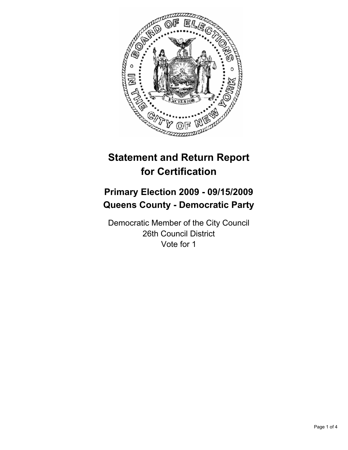

# **Statement and Return Report for Certification**

# **Primary Election 2009 - 09/15/2009 Queens County - Democratic Party**

Democratic Member of the City Council 26th Council District Vote for 1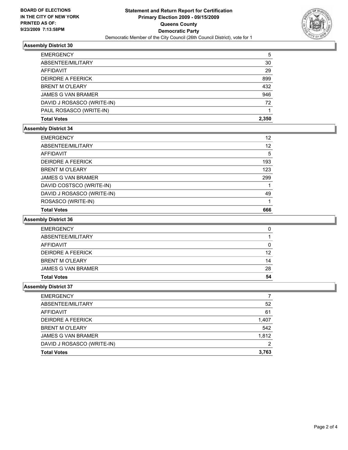

## **Assembly District 30**

| <b>EMERGENCY</b>           | 5     |
|----------------------------|-------|
| ABSENTEE/MILITARY          | 30    |
| AFFIDAVIT                  | 29    |
| <b>DEIRDRE A FEERICK</b>   | 899   |
| <b>BRENT M O'LEARY</b>     | 432   |
| <b>JAMES G VAN BRAMER</b>  | 946   |
| DAVID J ROSASCO (WRITE-IN) | 72    |
| PAUL ROSASCO (WRITE-IN)    |       |
| <b>Total Votes</b>         | 2.350 |

#### **Assembly District 34**

| <b>EMERGENCY</b>           | 12  |
|----------------------------|-----|
| ABSENTEE/MILITARY          | 12  |
| <b>AFFIDAVIT</b>           | 5   |
| <b>DEIRDRE A FEERICK</b>   | 193 |
| <b>BRENT M O'LEARY</b>     | 123 |
| <b>JAMES G VAN BRAMER</b>  | 299 |
| DAVID COSTSCO (WRITE-IN)   |     |
| DAVID J ROSASCO (WRITE-IN) | 49  |
| ROSASCO (WRITE-IN)         |     |
| <b>Total Votes</b>         | 666 |

## **Assembly District 36**

| <b>Total Votes</b>        | 54 |
|---------------------------|----|
| <b>JAMES G VAN BRAMER</b> | 28 |
| <b>BRENT M O'LEARY</b>    | 14 |
| <b>DEIRDRE A FEERICK</b>  | 12 |
| AFFIDAVIT                 | 0  |
| ABSENTEE/MILITARY         |    |
| <b>EMERGENCY</b>          | 0  |

#### **Assembly District 37**

| <b>EMERGENCY</b>           |       |
|----------------------------|-------|
| ABSENTEE/MILITARY          | 52    |
| AFFIDAVIT                  | 61    |
| DEIRDRE A FEERICK          | 1,407 |
| <b>BRENT M O'LEARY</b>     | 542   |
| <b>JAMES G VAN BRAMER</b>  | 1.812 |
| DAVID J ROSASCO (WRITE-IN) | 2     |
| <b>Total Votes</b>         | 3,763 |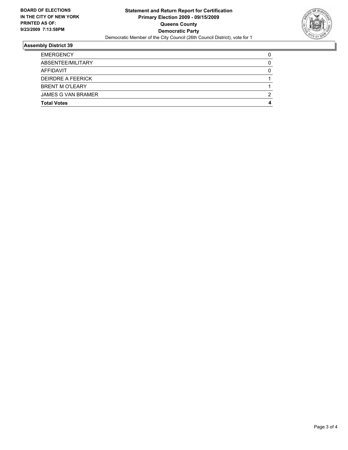

# **Assembly District 39**

| <b>EMERGENCY</b>          | 0 |
|---------------------------|---|
| ABSENTEE/MILITARY         | 0 |
| AFFIDAVIT                 | 0 |
| DEIRDRE A FEERICK         |   |
| <b>BRENT M O'LEARY</b>    |   |
| <b>JAMES G VAN BRAMER</b> | 2 |
| <b>Total Votes</b>        | 4 |